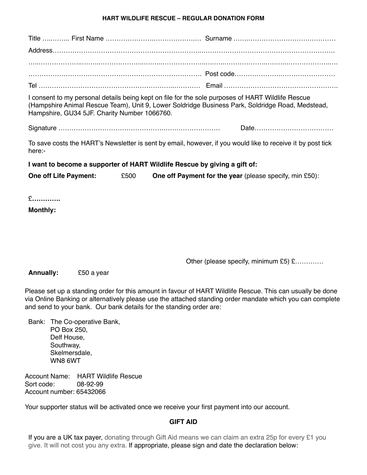## **HART WILDLIFE RESCUE – REGULAR DONATION FORM**

| Hampshire, GU34 5JF. Charity Number 1066760. | I consent to my personal details being kept on file for the sole purposes of HART Wildlife Rescue<br>(Hampshire Animal Rescue Team), Unit 9, Lower Soldridge Business Park, Soldridge Road, Medstead, |
|----------------------------------------------|-------------------------------------------------------------------------------------------------------------------------------------------------------------------------------------------------------|
|                                              |                                                                                                                                                                                                       |
| here:-                                       | To save costs the HART's Newsletter is sent by email, however, if you would like to receive it by post tick                                                                                           |
|                                              | I want to become a supporter of HART Wildlife Rescue by giving a gift of:                                                                                                                             |
| One off Life Payment:                        | £500<br>One off Payment for the year (please specify, min £50):                                                                                                                                       |
| £<br><b>Monthly:</b>                         |                                                                                                                                                                                                       |
|                                              | Other (please specify, minimum £5) £                                                                                                                                                                  |

**Annually:** £50 a year

Please set up a standing order for this amount in favour of HART Wildlife Rescue. This can usually be done via Online Banking or alternatively please use the attached standing order mandate which you can complete and send to your bank. Our bank details for the standing order are:

Bank: The Co-operative Bank, PO Box 250, Delf House, Southway, Skelmersdale, WN8 6WT

Account Name: HART Wildlife Rescue Sort code: 08-92-99 Account number: 65432066

Your supporter status will be activated once we receive your first payment into our account.

## **GIFT AID**

If you are a UK tax payer, donating through Gift Aid means we can claim an extra 25p for every £1 you give. It will not cost you any extra. If appropriate, please sign and date the declaration below: